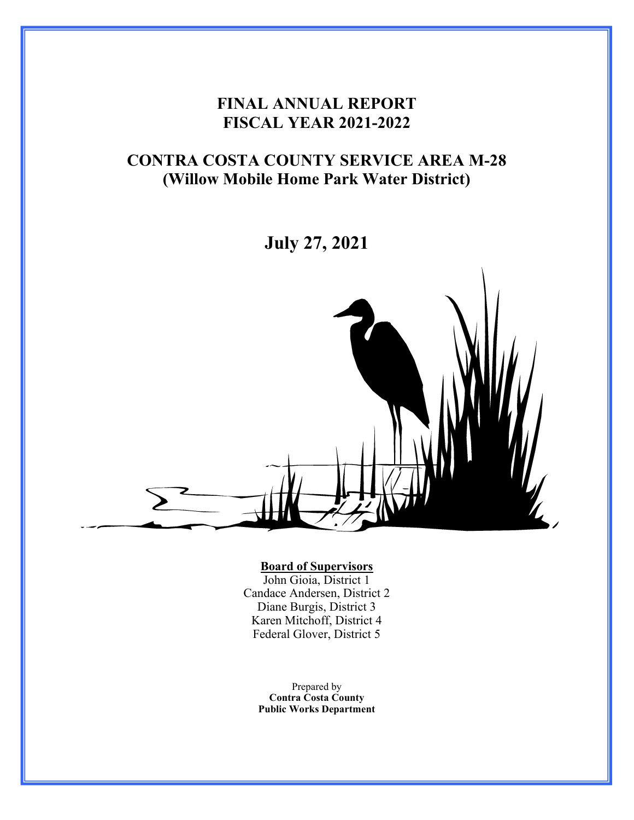# **FINAL ANNUAL REPORT FISCAL YEAR 2021-2022**

# **CONTRA COSTA COUNTY SERVICE AREA M-28 (Willow Mobile Home Park Water District)**

**July 27, 2021**



#### **Board of Supervisors**

John Gioia, District 1 Candace Andersen, District 2 Diane Burgis, District 3 Karen Mitchoff, District 4 Federal Glover, District 5

> Prepared by **Contra Costa County Public Works Department**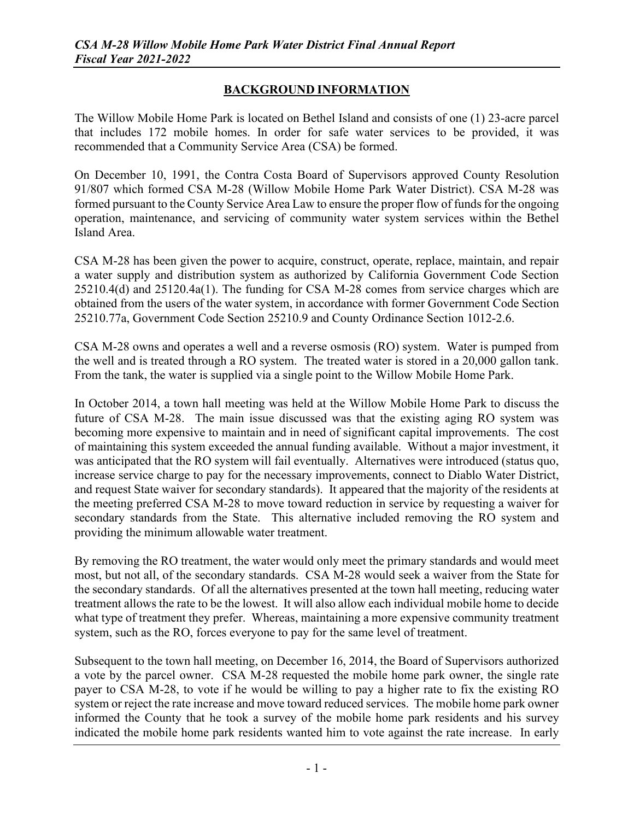# **BACKGROUND INFORMATION**

The Willow Mobile Home Park is located on Bethel Island and consists of one (1) 23-acre parcel that includes 172 mobile homes. In order for safe water services to be provided, it was recommended that a Community Service Area (CSA) be formed.

On December 10, 1991, the Contra Costa Board of Supervisors approved County Resolution 91/807 which formed CSA M-28 (Willow Mobile Home Park Water District). CSA M-28 was formed pursuant to the County Service Area Law to ensure the proper flow of funds for the ongoing operation, maintenance, and servicing of community water system services within the Bethel Island Area.

CSA M-28 has been given the power to acquire, construct, operate, replace, maintain, and repair a water supply and distribution system as authorized by California Government Code Section 25210.4(d) and 25120.4a(1). The funding for CSA M-28 comes from service charges which are obtained from the users of the water system, in accordance with former Government Code Section 25210.77a, Government Code Section 25210.9 and County Ordinance Section 1012-2.6.

CSA M-28 owns and operates a well and a reverse osmosis (RO) system. Water is pumped from the well and is treated through a RO system. The treated water is stored in a 20,000 gallon tank. From the tank, the water is supplied via a single point to the Willow Mobile Home Park.

In October 2014, a town hall meeting was held at the Willow Mobile Home Park to discuss the future of CSA M-28. The main issue discussed was that the existing aging RO system was becoming more expensive to maintain and in need of significant capital improvements. The cost of maintaining this system exceeded the annual funding available. Without a major investment, it was anticipated that the RO system will fail eventually. Alternatives were introduced (status quo, increase service charge to pay for the necessary improvements, connect to Diablo Water District, and request State waiver for secondary standards). It appeared that the majority of the residents at the meeting preferred CSA M-28 to move toward reduction in service by requesting a waiver for secondary standards from the State. This alternative included removing the RO system and providing the minimum allowable water treatment.

By removing the RO treatment, the water would only meet the primary standards and would meet most, but not all, of the secondary standards. CSA M-28 would seek a waiver from the State for the secondary standards. Of all the alternatives presented at the town hall meeting, reducing water treatment allows the rate to be the lowest. It will also allow each individual mobile home to decide what type of treatment they prefer. Whereas, maintaining a more expensive community treatment system, such as the RO, forces everyone to pay for the same level of treatment.

Subsequent to the town hall meeting, on December 16, 2014, the Board of Supervisors authorized a vote by the parcel owner. CSA M-28 requested the mobile home park owner, the single rate payer to CSA M-28, to vote if he would be willing to pay a higher rate to fix the existing RO system or reject the rate increase and move toward reduced services. The mobile home park owner informed the County that he took a survey of the mobile home park residents and his survey indicated the mobile home park residents wanted him to vote against the rate increase. In early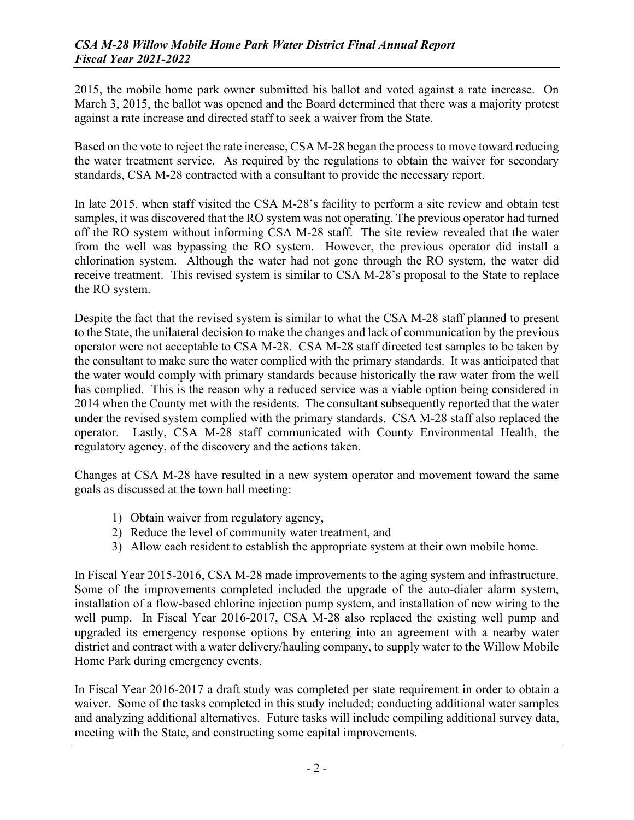2015, the mobile home park owner submitted his ballot and voted against a rate increase. On March 3, 2015, the ballot was opened and the Board determined that there was a majority protest against a rate increase and directed staff to seek a waiver from the State.

Based on the vote to reject the rate increase, CSA M-28 began the process to move toward reducing the water treatment service. As required by the regulations to obtain the waiver for secondary standards, CSA M-28 contracted with a consultant to provide the necessary report.

In late 2015, when staff visited the CSA M-28's facility to perform a site review and obtain test samples, it was discovered that the RO system was not operating. The previous operator had turned off the RO system without informing CSA M-28 staff. The site review revealed that the water from the well was bypassing the RO system. However, the previous operator did install a chlorination system. Although the water had not gone through the RO system, the water did receive treatment. This revised system is similar to CSA M-28's proposal to the State to replace the RO system.

Despite the fact that the revised system is similar to what the CSA M-28 staff planned to present to the State, the unilateral decision to make the changes and lack of communication by the previous operator were not acceptable to CSA M-28. CSA M-28 staff directed test samples to be taken by the consultant to make sure the water complied with the primary standards. It was anticipated that the water would comply with primary standards because historically the raw water from the well has complied. This is the reason why a reduced service was a viable option being considered in 2014 when the County met with the residents. The consultant subsequently reported that the water under the revised system complied with the primary standards. CSA M-28 staff also replaced the operator. Lastly, CSA M-28 staff communicated with County Environmental Health, the regulatory agency, of the discovery and the actions taken.

Changes at CSA M-28 have resulted in a new system operator and movement toward the same goals as discussed at the town hall meeting:

- 1) Obtain waiver from regulatory agency,
- 2) Reduce the level of community water treatment, and
- 3) Allow each resident to establish the appropriate system at their own mobile home.

In Fiscal Year 2015-2016, CSA M-28 made improvements to the aging system and infrastructure. Some of the improvements completed included the upgrade of the auto-dialer alarm system, installation of a flow-based chlorine injection pump system, and installation of new wiring to the well pump. In Fiscal Year 2016-2017, CSA M-28 also replaced the existing well pump and upgraded its emergency response options by entering into an agreement with a nearby water district and contract with a water delivery/hauling company, to supply water to the Willow Mobile Home Park during emergency events.

In Fiscal Year 2016-2017 a draft study was completed per state requirement in order to obtain a waiver. Some of the tasks completed in this study included; conducting additional water samples and analyzing additional alternatives. Future tasks will include compiling additional survey data, meeting with the State, and constructing some capital improvements.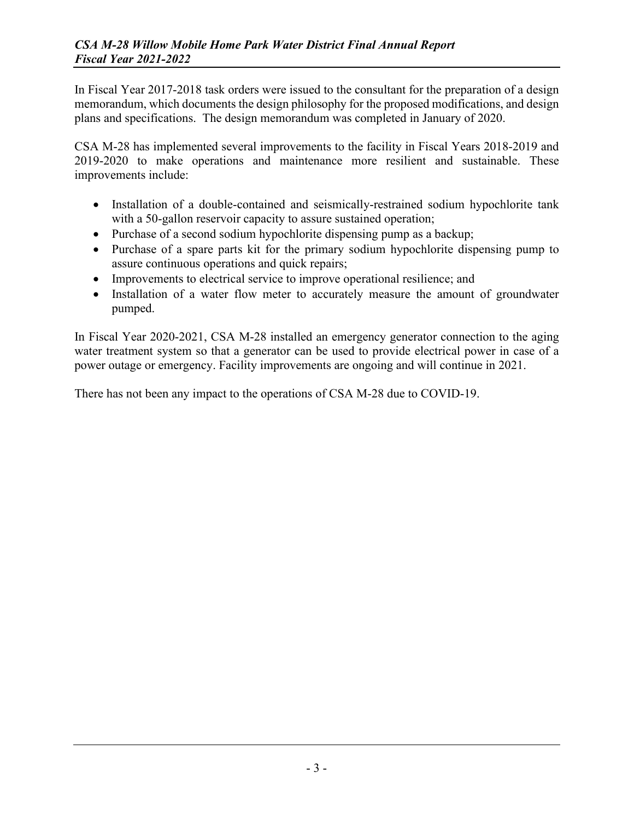In Fiscal Year 2017-2018 task orders were issued to the consultant for the preparation of a design memorandum, which documents the design philosophy for the proposed modifications, and design plans and specifications. The design memorandum was completed in January of 2020.

CSA M-28 has implemented several improvements to the facility in Fiscal Years 2018-2019 and 2019-2020 to make operations and maintenance more resilient and sustainable. These improvements include:

- Installation of a double-contained and seismically-restrained sodium hypochlorite tank with a 50-gallon reservoir capacity to assure sustained operation;
- Purchase of a second sodium hypochlorite dispensing pump as a backup;
- Purchase of a spare parts kit for the primary sodium hypochlorite dispensing pump to assure continuous operations and quick repairs;
- Improvements to electrical service to improve operational resilience; and
- Installation of a water flow meter to accurately measure the amount of groundwater pumped.

In Fiscal Year 2020-2021, CSA M-28 installed an emergency generator connection to the aging water treatment system so that a generator can be used to provide electrical power in case of a power outage or emergency. Facility improvements are ongoing and will continue in 2021.

There has not been any impact to the operations of CSA M-28 due to COVID-19.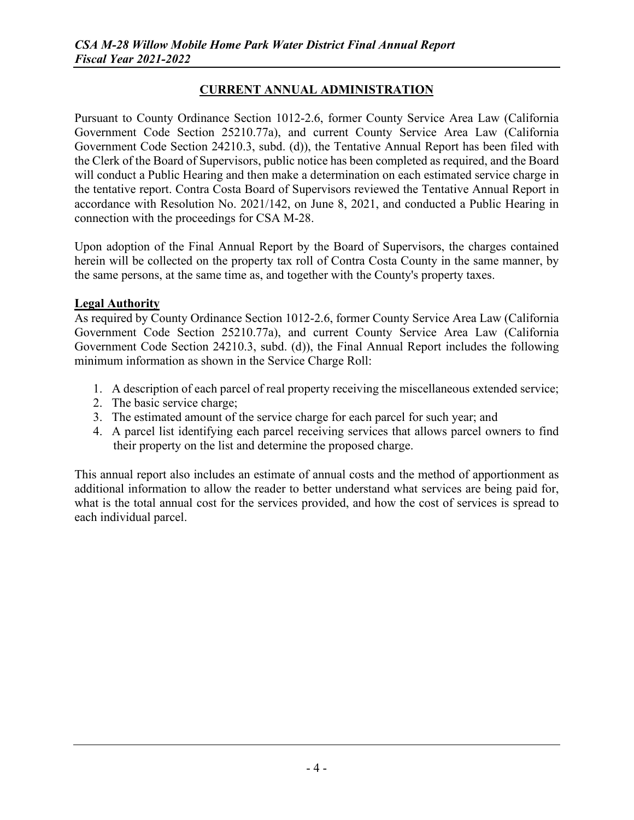# **CURRENT ANNUAL ADMINISTRATION**

Pursuant to County Ordinance Section 1012-2.6, former County Service Area Law (California Government Code Section 25210.77a), and current County Service Area Law (California Government Code Section 24210.3, subd. (d)), the Tentative Annual Report has been filed with the Clerk of the Board of Supervisors, public notice has been completed as required, and the Board will conduct a Public Hearing and then make a determination on each estimated service charge in the tentative report. Contra Costa Board of Supervisors reviewed the Tentative Annual Report in accordance with Resolution No. 2021/142, on June 8, 2021, and conducted a Public Hearing in connection with the proceedings for CSA M-28.

Upon adoption of the Final Annual Report by the Board of Supervisors, the charges contained herein will be collected on the property tax roll of Contra Costa County in the same manner, by the same persons, at the same time as, and together with the County's property taxes.

### **Legal Authority**

As required by County Ordinance Section 1012-2.6, former County Service Area Law (California Government Code Section 25210.77a), and current County Service Area Law (California Government Code Section 24210.3, subd. (d)), the Final Annual Report includes the following minimum information as shown in the Service Charge Roll:

- 1. A description of each parcel of real property receiving the miscellaneous extended service;
- 2. The basic service charge;
- 3. The estimated amount of the service charge for each parcel for such year; and
- 4. A parcel list identifying each parcel receiving services that allows parcel owners to find their property on the list and determine the proposed charge.

This annual report also includes an estimate of annual costs and the method of apportionment as additional information to allow the reader to better understand what services are being paid for, what is the total annual cost for the services provided, and how the cost of services is spread to each individual parcel.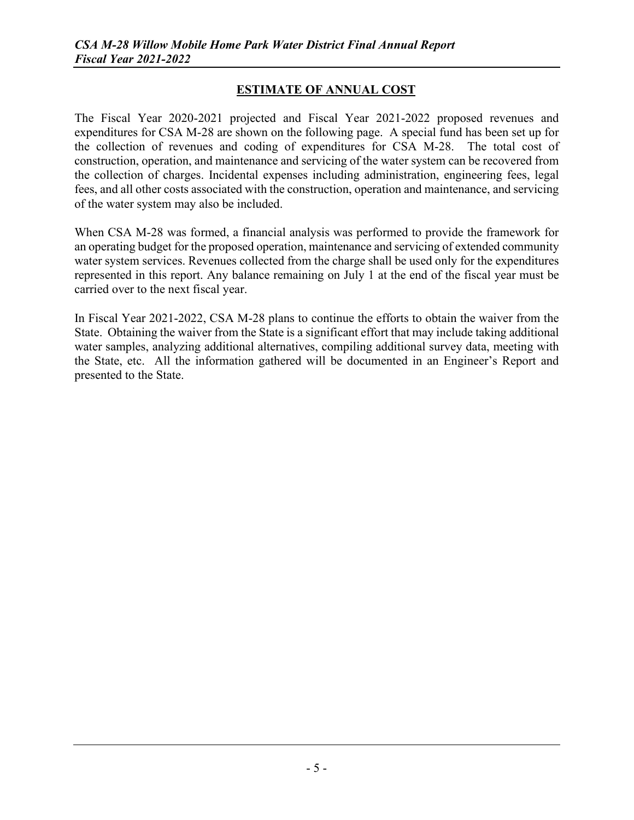## **ESTIMATE OF ANNUAL COST**

The Fiscal Year 2020-2021 projected and Fiscal Year 2021-2022 proposed revenues and expenditures for CSA M-28 are shown on the following page. A special fund has been set up for the collection of revenues and coding of expenditures for CSA M-28. The total cost of construction, operation, and maintenance and servicing of the water system can be recovered from the collection of charges. Incidental expenses including administration, engineering fees, legal fees, and all other costs associated with the construction, operation and maintenance, and servicing of the water system may also be included.

When CSA M-28 was formed, a financial analysis was performed to provide the framework for an operating budget for the proposed operation, maintenance and servicing of extended community water system services. Revenues collected from the charge shall be used only for the expenditures represented in this report. Any balance remaining on July 1 at the end of the fiscal year must be carried over to the next fiscal year.

In Fiscal Year 2021-2022, CSA M-28 plans to continue the efforts to obtain the waiver from the State. Obtaining the waiver from the State is a significant effort that may include taking additional water samples, analyzing additional alternatives, compiling additional survey data, meeting with the State, etc. All the information gathered will be documented in an Engineer's Report and presented to the State.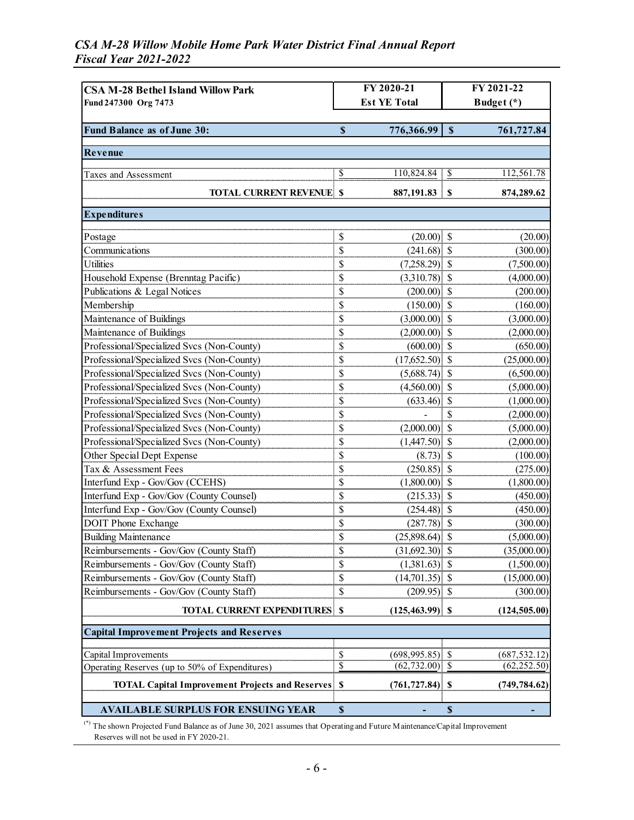# *CSA M-28 Willow Mobile Home Park Water District Final Annual Report Fiscal Year 2021-2022*

| <b>CSA M-28 Bethel Island Willow Park</b>              | FY 2020-21                |                    | FY 2021-22                |               |  |
|--------------------------------------------------------|---------------------------|--------------------|---------------------------|---------------|--|
| Fund 247300 Org 7473                                   | <b>Est YE Total</b>       |                    | Budget (*)                |               |  |
|                                                        |                           |                    |                           |               |  |
| Fund Balance as of June 30:                            | $\boldsymbol{\mathsf{S}}$ | 776,366.99         | $\boldsymbol{\mathsf{S}}$ | 761,727.84    |  |
| Revenue                                                |                           |                    |                           |               |  |
| Taxes and Assessment                                   | \$                        |                    |                           | 112,561.78    |  |
| <b>TOTAL CURRENT REVENUE \$</b>                        |                           |                    |                           | 874,289.62    |  |
| <b>Expenditures</b>                                    |                           |                    |                           |               |  |
| Postage                                                | \$                        | $(20.00)$ \$       |                           | (20.00)       |  |
| Communications                                         | \$                        | $(241.68)$ \$      |                           | (300.00)      |  |
| <b>Utilities</b>                                       | \$                        | $(7,258.29)$ \$    |                           | (7,500.00)    |  |
| Household Expense (Brenntag Pacific)                   | \$                        | $(3,310.78)$ \$    |                           | (4,000.00)    |  |
| Publications & Legal Notices                           | \$                        | $(200.00)$ \$      |                           | (200.00)      |  |
| Membership                                             | \$                        | $(150.00)$ \$      |                           | (160.00)      |  |
| Maintenance of Buildings                               | \$                        | $(3,000.00)$ \$    |                           | (3,000.00)    |  |
| Maintenance of Buildings                               | \$                        | $(2,000.00)$ \$    |                           | (2,000.00)    |  |
| Professional/Specialized Svcs (Non-County)             | \$                        | $(600.00)$ \$      |                           | (650.00)      |  |
| Professional/Specialized Svcs (Non-County)             | \$                        | $(17,652.50)$ \$   |                           | (25,000.00)   |  |
| Professional/Specialized Svcs (Non-County)             | \$                        | $(5,688.74)$ \$    |                           | (6,500.00)    |  |
| Professional/Specialized Svcs (Non-County)             | \$                        | $(4,560.00)$ \$    |                           | (5,000.00)    |  |
| Professional/Specialized Svcs (Non-County)             | \$                        | $(633.46)$ \$      |                           | (1,000.00)    |  |
| Professional/Specialized Svcs (Non-County)             | \$                        |                    | \$                        | (2,000.00)    |  |
| Professional/Specialized Svcs (Non-County)             | \$                        | $(2,000.00)$ \$    |                           | (5,000.00)    |  |
| Professional/Specialized Svcs (Non-County)             | \$                        | $(1,447.50)$ \$    |                           | (2,000.00)    |  |
| Other Special Dept Expense                             | \$                        | $(8.73)$ \$        |                           | (100.00)      |  |
| Tax & Assessment Fees                                  | \$                        | $(250.85)$ \$      |                           | (275.00)      |  |
| Interfund Exp - Gov/Gov (CCEHS)                        | \$                        | $(1,800.00)$ \$    |                           | (1,800.00)    |  |
| Interfund Exp - Gov/Gov (County Counsel)               | \$                        | $(215.33)$ \$      |                           | (450.00)      |  |
| Interfund Exp - Gov/Gov (County Counsel)               | \$                        | $(254.48)$ \$      |                           | (450.00)      |  |
| <b>DOIT Phone Exchange</b>                             | \$                        | $(287.78)$ \$      |                           | (300.00)      |  |
| <b>Building Maintenance</b>                            | \$                        | $(25,898.64)$ \$   |                           | (5,000.00)    |  |
| Reimbursements - Gov/Gov (County Staff)                | \$                        | $(31,692.30)$ \$   |                           | (35,000.00)   |  |
| Reimbursements - Gov/Gov (County Staff)                | \$                        | $(1,381.63)$ \$    |                           | (1,500.00)    |  |
| Reimbursements - Gov/Gov (County Staff)                | \$                        | $(14,701.35)$ \$   |                           | (15,000.00)   |  |
| Reimbursements - Gov/Gov (County Staff)                | \$                        | $(209.95)$ \$      |                           | (300.00)      |  |
| <b>TOTAL CURRENT EXPENDITURES \$</b>                   |                           | $(125, 463.99)$ \$ |                           | (124, 505.00) |  |
| <b>Capital Improvement Projects and Reserves</b>       |                           |                    |                           |               |  |
| Capital Improvements                                   | \$                        | $(698, 995.85)$ \$ |                           | (687, 532.12) |  |
| Operating Reserves (up to 50% of Expenditures)         | $\overline{\$}$           | $(62, 732.00)$ \$  |                           | (62, 252.50)  |  |
| <b>TOTAL Capital Improvement Projects and Reserves</b> | $\mathbf{s}$              | $(761, 727.84)$ \$ |                           | (749, 784.62) |  |
| <b>AVAILABLE SURPLUS FOR ENSUING YEAR</b>              | $\mathbb S$               |                    | $\boldsymbol{\mathsf{S}}$ |               |  |

(\*) The shown Projected Fund Balance as of June 30, 2021 assumes that Operating and Future Maintenance/Capital Improvement Reserves will not be used in FY 2020-21.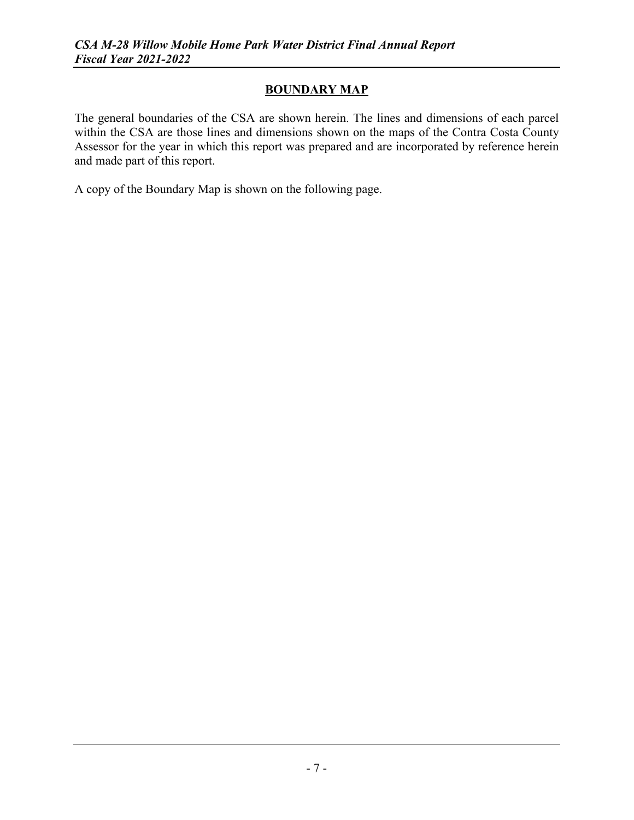# **BOUNDARY MAP**

The general boundaries of the CSA are shown herein. The lines and dimensions of each parcel within the CSA are those lines and dimensions shown on the maps of the Contra Costa County Assessor for the year in which this report was prepared and are incorporated by reference herein and made part of this report.

A copy of the Boundary Map is shown on the following page.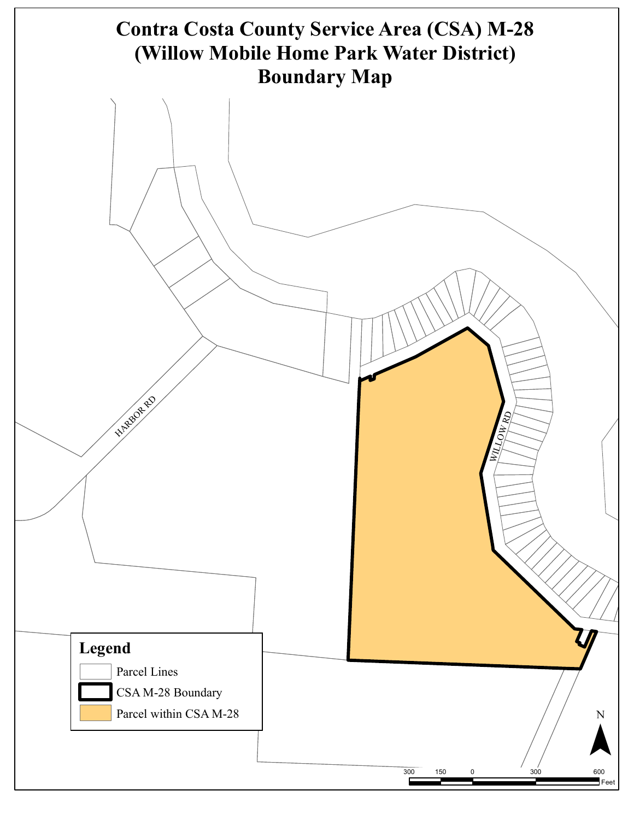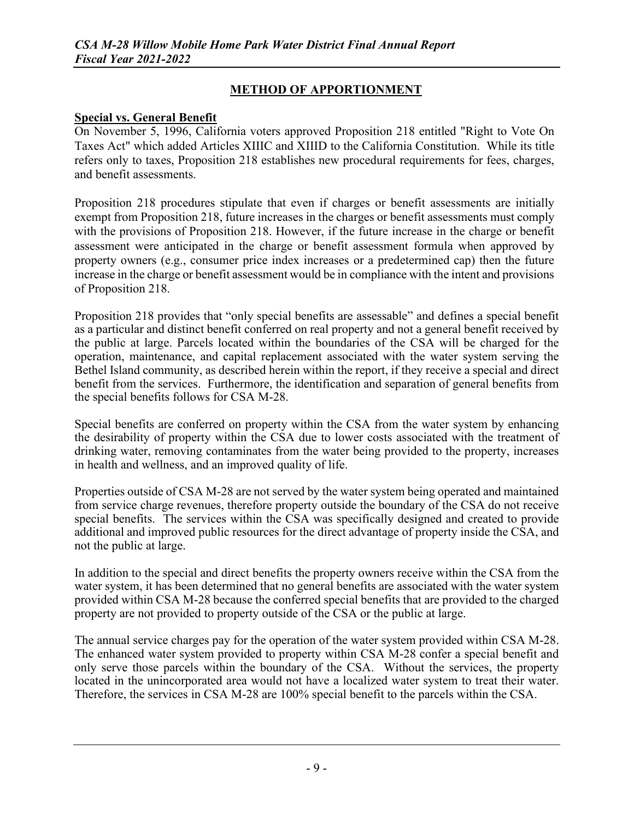# **METHOD OF APPORTIONMENT**

### **Special vs. General Benefit**

On November 5, 1996, California voters approved Proposition 218 entitled "Right to Vote On Taxes Act" which added Articles XIIIC and XIIID to the California Constitution. While its title refers only to taxes, Proposition 218 establishes new procedural requirements for fees, charges, and benefit assessments.

Proposition 218 procedures stipulate that even if charges or benefit assessments are initially exempt from Proposition 218, future increases in the charges or benefit assessments must comply with the provisions of Proposition 218. However, if the future increase in the charge or benefit assessment were anticipated in the charge or benefit assessment formula when approved by property owners (e.g., consumer price index increases or a predetermined cap) then the future increase in the charge or benefit assessment would be in compliance with the intent and provisions of Proposition 218.

Proposition 218 provides that "only special benefits are assessable" and defines a special benefit as a particular and distinct benefit conferred on real property and not a general benefit received by the public at large. Parcels located within the boundaries of the CSA will be charged for the operation, maintenance, and capital replacement associated with the water system serving the Bethel Island community, as described herein within the report, if they receive a special and direct benefit from the services. Furthermore, the identification and separation of general benefits from the special benefits follows for CSA M-28.

Special benefits are conferred on property within the CSA from the water system by enhancing the desirability of property within the CSA due to lower costs associated with the treatment of drinking water, removing contaminates from the water being provided to the property, increases in health and wellness, and an improved quality of life.

Properties outside of CSA M-28 are not served by the water system being operated and maintained from service charge revenues, therefore property outside the boundary of the CSA do not receive special benefits. The services within the CSA was specifically designed and created to provide additional and improved public resources for the direct advantage of property inside the CSA, and not the public at large.

In addition to the special and direct benefits the property owners receive within the CSA from the water system, it has been determined that no general benefits are associated with the water system provided within CSA M-28 because the conferred special benefits that are provided to the charged property are not provided to property outside of the CSA or the public at large.

The annual service charges pay for the operation of the water system provided within CSA M-28. The enhanced water system provided to property within CSA M-28 confer a special benefit and only serve those parcels within the boundary of the CSA. Without the services, the property located in the unincorporated area would not have a localized water system to treat their water. Therefore, the services in CSA M-28 are 100% special benefit to the parcels within the CSA.